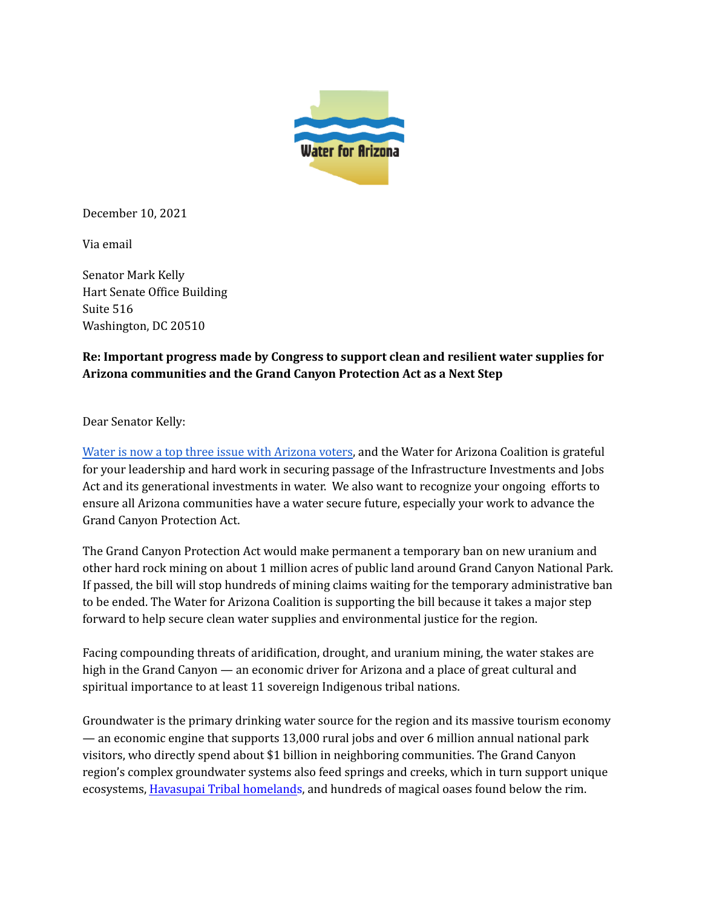

December 10, 2021

Via email

Senator Mark Kelly Hart Senate Office Building Suite 516 Washington, DC 20510

## **Re: Important progress made by Congress to support clean and resilient water supplies for Arizona communities and the Grand Canyon Protection Act as a Next Step**

Dear Senator Kelly:

Water is now a top three issue with [Arizona](https://d5cce0e3-1537-4217-a269-a7203d7b4cd3.filesusr.com/ugd/9ef7a5_ebe6e6b0e89845a8bf879f50c1b90a6b.pdf) voters, and the Water for Arizona Coalition is grateful for your leadership and hard work in securing passage of the Infrastructure Investments and Jobs Act and its generational investments in water. We also want to recognize your ongoing efforts to ensure all Arizona communities have a water secure future, especially your work to advance the Grand Canyon Protection Act.

The Grand Canyon Protection Act would make permanent a temporary ban on new uranium and other hard rock mining on about 1 million acres of public land around Grand Canyon National Park. If passed, the bill will stop hundreds of mining claims waiting for the temporary administrative ban to be ended. The Water for Arizona Coalition is supporting the bill because it takes a major step forward to help secure clean water supplies and environmental justice for the region.

Facing compounding threats of aridification, drought, and uranium mining, the water stakes are high in the Grand Canyon — an economic driver for Arizona and a place of great cultural and spiritual importance to at least 11 sovereign Indigenous tribal nations.

Groundwater is the primary drinking water source for the region and its massive tourism economy — an economic engine that supports 13,000 rural jobs and over 6 million annual national park visitors, who directly spend about \$1 billion in neighboring communities. The Grand Canyon region's complex groundwater systems also feed springs and creeks, which in turn support unique ecosystems, [Havasupai](https://www.newsweek.com/congress-must-act-save-havasupai-tribe-extinction-opinion-1654939) Tribal homelands, and hundreds of magical oases found below the rim.